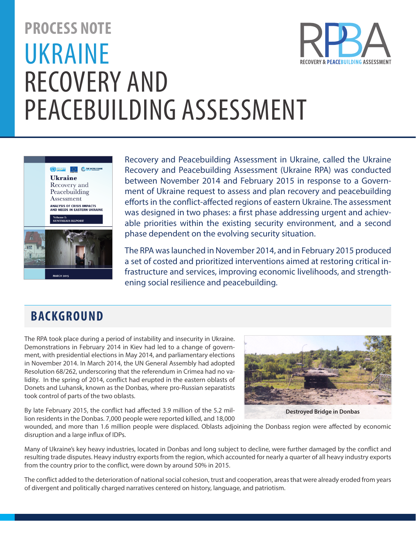# **PROCESS NOTE** UKRAINE RECOVERY AND PEACEBUILDING ASSESSMENT



Recovery and Peacebuilding Assessment in Ukraine, called the Ukraine Recovery and Peacebuilding Assessment (Ukraine RPA) was conducted between November 2014 and February 2015 in response to a Government of Ukraine request to assess and plan recovery and peacebuilding efforts in the conflict-affected regions of eastern Ukraine. The assessment was designed in two phases: a first phase addressing urgent and achievable priorities within the existing security environment, and a second phase dependent on the evolving security situation.

The RPA was launched in November 2014, and in February 2015 produced a set of costed and prioritized interventions aimed at restoring critical infrastructure and services, improving economic livelihoods, and strengthening social resilience and peacebuilding.

### **BACKGROUND**

The RPA took place during a period of instability and insecurity in Ukraine. Demonstrations in February 2014 in Kiev had led to a change of government, with presidential elections in May 2014, and parliamentary elections in November 2014. In March 2014, the UN General Assembly had adopted Resolution 68/262, underscoring that the referendum in Crimea had no validity. In the spring of 2014, conflict had erupted in the eastern oblasts of Donets and Luhansk, known as the Donbas, where pro-Russian separatists took control of parts of the two oblasts.

**Destroyed Bridge in Donbas**

FRY & PEACERIIII DING ASSE

By late February 2015, the conflict had affected 3.9 million of the 5.2 million residents in the Donbas. 7,000 people were reported killed, and 18,000

wounded, and more than 1.6 million people were displaced. Oblasts adjoining the Donbass region were affected by economic disruption and a large influx of IDPs.

Many of Ukraine's key heavy industries, located in Donbas and long subject to decline, were further damaged by the conflict and resulting trade disputes. Heavy industry exports from the region, which accounted for nearly a quarter of all heavy industry exports from the country prior to the conflict, were down by around 50% in 2015.

The conflict added to the deterioration of national social cohesion, trust and cooperation, areas that were already eroded from years of divergent and politically charged narratives centered on history, language, and patriotism.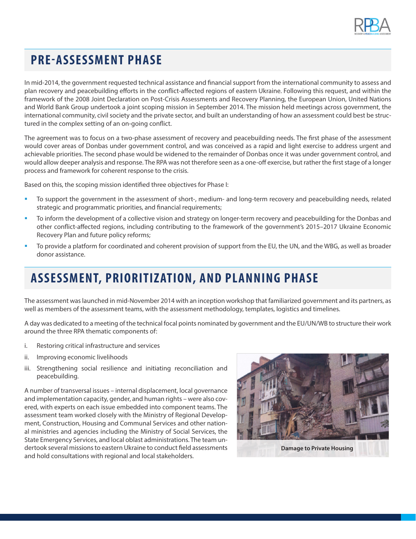

## **PRE-ASSESSMENT PHASE**

In mid-2014, the government requested technical assistance and financial support from the international community to assess and plan recovery and peacebuilding efforts in the conflict-affected regions of eastern Ukraine. Following this request, and within the framework of the 2008 Joint Declaration on Post-Crisis Assessments and Recovery Planning, the European Union, United Nations and World Bank Group undertook a joint scoping mission in September 2014. The mission held meetings across government, the international community, civil society and the private sector, and built an understanding of how an assessment could best be structured in the complex setting of an on-going conflict.

The agreement was to focus on a two-phase assessment of recovery and peacebuilding needs. The first phase of the assessment would cover areas of Donbas under government control, and was conceived as a rapid and light exercise to address urgent and achievable priorities. The second phase would be widened to the remainder of Donbas once it was under government control, and would allow deeper analysis and response. The RPA was not therefore seen as a one-off exercise, but rather the first stage of a longer process and framework for coherent response to the crisis.

Based on this, the scoping mission identified three objectives for Phase I:

- To support the government in the assessment of short-, medium- and long-term recovery and peacebuilding needs, related strategic and programmatic priorities, and financial requirements;
- **•** To inform the development of a collective vision and strategy on longer-term recovery and peacebuilding for the Donbas and other conflict-affected regions, including contributing to the framework of the government's 2015–2017 Ukraine Economic Recovery Plan and future policy reforms;
- To provide a platform for coordinated and coherent provision of support from the EU, the UN, and the WBG, as well as broader donor assistance.

## **ASSESSMENT, PRIORITIZ ATION, AND PLANNING PHASE**

The assessment was launched in mid-November 2014 with an inception workshop that familiarized government and its partners, as well as members of the assessment teams, with the assessment methodology, templates, logistics and timelines.

A day was dedicated to a meeting of the technical focal points nominated by government and the EU/UN/WB to structure their work around the three RPA thematic components of:

- i. Restoring critical infrastructure and services
- ii. Improving economic livelihoods
- iii. Strengthening social resilience and initiating reconciliation and peacebuilding.

A number of transversal issues – internal displacement, local governance and implementation capacity, gender, and human rights – were also covered, with experts on each issue embedded into component teams. The assessment team worked closely with the Ministry of Regional Development, Construction, Housing and Communal Services and other national ministries and agencies including the Ministry of Social Services, the State Emergency Services, and local oblast administrations. The team undertook several missions to eastern Ukraine to conduct field assessments and hold consultations with regional and local stakeholders.

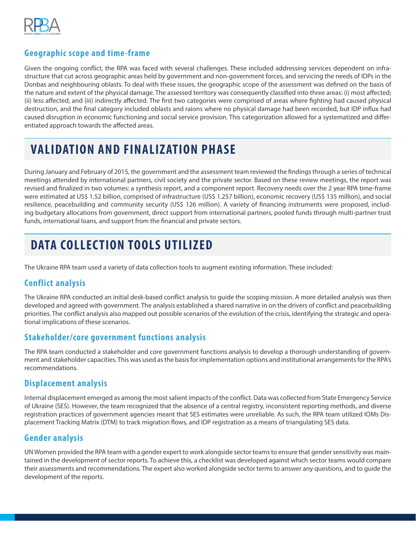

### **Geographic scope and time-frame**

Given the ongoing conflict, the RPA was faced with several challenges. These included addressing services dependent on infrastructure that cut across geographic areas held by government and non-government forces, and servicing the needs of IDPs in the Donbas and neighbouring oblasts. To deal with these issues, the geographic scope of the assessment was defined on the basis of the nature and extent of the physical damage. The assessed territory was consequently classified into three areas: (i) most affected; (ii) less affected; and (iii) indirectly affected. The first two categories were comprised of areas where fighting had caused physical destruction, and the final category included oblasts and raions where no physical damage had been recorded, but IDP influx had caused disruption in economic functioning and social service provision. This categorization allowed for a systematized and differentiated approach towards the affected areas.

### **VALIDATION AND FINALIZATION PHASE**

During January and February of 2015, the government and the assessment team reviewed the findings through a series of technical meetings attended by international partners, civil society and the private sector. Based on these review meetings, the report was revised and finalized in two volumes: a synthesis report, and a component report. Recovery needs over the 2 year RPA time-frame were estimated at US\$ 1.52 billion, comprised of infrastructure (US\$ 1.257 billion), economic recovery (US\$ 135 million), and social resilience, peacebuilding and community security (US\$ 126 million). A variety of financing instruments were proposed, including budgetary allocations from government, direct support from international partners, pooled funds through multi-partner trust funds, international loans, and support from the financial and private sectors.

# **DATA COLLECTION TOOLS UTILIZED**

The Ukraine RPA team used a variety of data collection tools to augment existing information. These included:

### **Conflict analysis**

The Ukraine RPA conducted an initial desk-based conflict analysis to guide the scoping mission. A more detailed analysis was then developed and agreed with government. The analysis established a shared narrative in on the drivers of conflict and peacebuilding priorities. The conflict analysis also mapped out possible scenarios of the evolution of the crisis, identifying the strategic and operational implications of these scenarios.

#### **Stakeholder/core government functions analysis**

The RPA team conducted a stakeholder and core government functions analysis to develop a thorough understanding of government and stakeholder capacities. This was used as the basis for implementation options and institutional arrangements for the RPA's recommendations.

#### **Displacement analysis**

Internal displacement emerged as among the most salient impacts of the conflict. Data was collected from State Emergency Service of Ukraine (SES). However, the team recognized that the absence of a central registry, inconsistent reporting methods, and diverse registration practices of government agencies meant that SES estimates were unreliable. As such, the RPA team utilized IOMs Displacement Tracking Matrix (DTM) to track migration flows, and IDP registration as a means of triangulating SES data.

### **Gender analysis**

UN Women provided the RPA team with a gender expert to work alongside sector teams to ensure that gender sensitivity was maintained in the development of sector reports. To achieve this, a checklist was developed against which sector teams would compare their assessments and recommendations. The expert also worked alongside sector terms to answer any questions, and to guide the development of the reports.